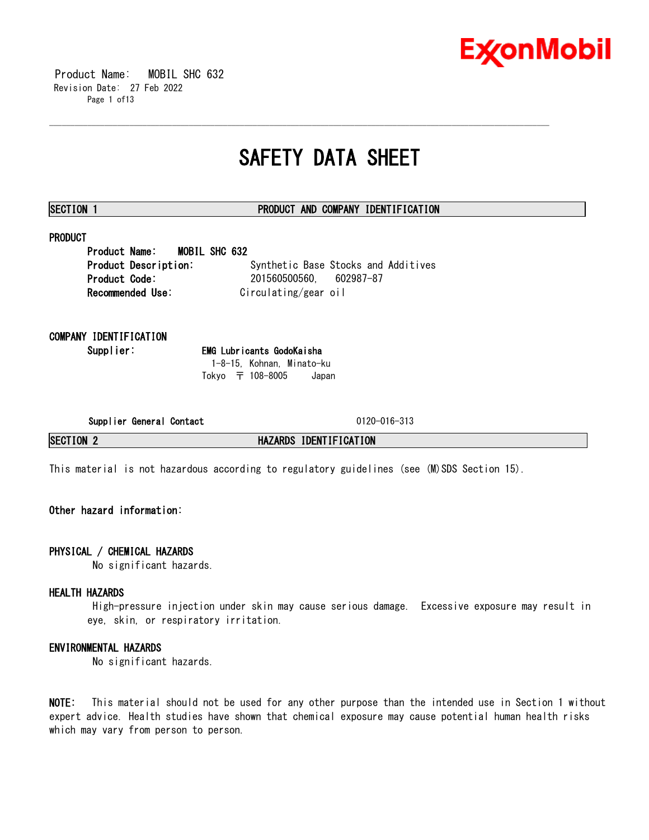

 Product Name: MOBIL SHC 632 Revision Date: 27 Feb 2022 Page 1 of13

## **SAFETY DATA SHEET**

\_\_\_\_\_\_\_\_\_\_\_\_\_\_\_\_\_\_\_\_\_\_\_\_\_\_\_\_\_\_\_\_\_\_\_\_\_\_\_\_\_\_\_\_\_\_\_\_\_\_\_\_\_\_\_\_\_\_\_\_\_\_\_\_\_\_\_\_\_\_\_\_\_\_\_\_\_\_\_\_\_\_\_\_\_\_\_\_\_\_\_\_\_\_\_\_\_\_\_\_\_\_\_\_\_\_\_\_\_\_\_\_\_\_\_\_\_\_

### **SECTION 1 PRODUCT AND COMPANY IDENTIFICATION**

## **PRODUCT**

**Product Name: MOBIL SHC 632 Product Description:** Synthetic Base Stocks and Additives **Product Code:** 201560500560, 602987-87 **Recommended Use:** Circulating/gear oil

**COMPANY IDENTIFICATION**

**Supplier: EMG Lubricants GodoKaisha** 1-8-15, Kohnan, Minato-ku Tokyo 〒 108-8005 Japan

**Supplier General Contact** 0120-016-313

**SECTION 2 HAZARDS IDENTIFICATION**

This material is not hazardous according to regulatory guidelines (see (M)SDS Section 15).

### **Other hazard information:**

#### **PHYSICAL / CHEMICAL HAZARDS**

No significant hazards.

#### **HEALTH HAZARDS**

High-pressure injection under skin may cause serious damage. Excessive exposure may result in eye, skin, or respiratory irritation.

#### **ENVIRONMENTAL HAZARDS**

No significant hazards.

**NOTE:** This material should not be used for any other purpose than the intended use in Section 1 without expert advice. Health studies have shown that chemical exposure may cause potential human health risks which may vary from person to person.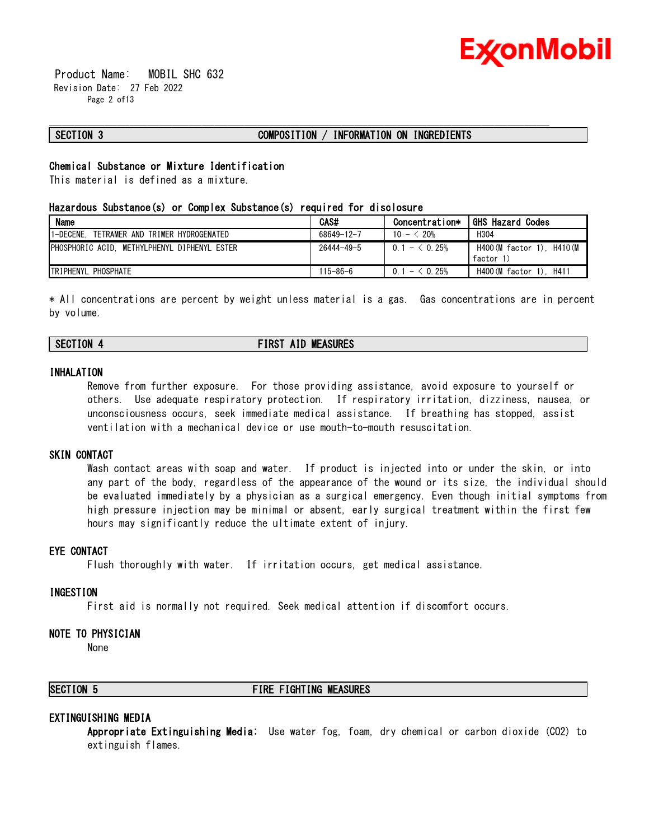

 Product Name: MOBIL SHC 632 Revision Date: 27 Feb 2022 Page 2 of13

#### **SECTION 3 COMPOSITION / INFORMATION ON INGREDIENTS**

\_\_\_\_\_\_\_\_\_\_\_\_\_\_\_\_\_\_\_\_\_\_\_\_\_\_\_\_\_\_\_\_\_\_\_\_\_\_\_\_\_\_\_\_\_\_\_\_\_\_\_\_\_\_\_\_\_\_\_\_\_\_\_\_\_\_\_\_\_\_\_\_\_\_\_\_\_\_\_\_\_\_\_\_\_\_\_\_\_\_\_\_\_\_\_\_\_\_\_\_\_\_\_\_\_\_\_\_\_\_\_\_\_\_\_\_\_\_

#### **Chemical Substance or Mixture Identification**

This material is defined as a mixture.

#### **Hazardous Substance(s) or Complex Substance(s) required for disclosure**

| <b>Name</b>                                   | CAS#             | Concentration*  | <b>GHS Hazard Codes</b>                 |
|-----------------------------------------------|------------------|-----------------|-----------------------------------------|
| 1-DECENE.<br>TETRAMER AND TRIMER HYDROGENATED | 68649-12-7       | $10 - \le 20\%$ | H304                                    |
| PHOSPHORIC ACID. METHYLPHENYL DIPHENYL ESTER  | $26444 - 49 - 5$ | $0.1 - 6.25%$   | H400 (M factor 1). H410 (M<br>factor 1) |
| <b>TRIPHENYL PHOSPHATE</b>                    | $115 - 86 - 6$   | $0.1 - 0.25%$   | H400 (M factor 1). H411                 |

\* All concentrations are percent by weight unless material is a gas. Gas concentrations are in percent by volume.

### **SECTION 4 FIRST AID MEASURES**

#### **INHALATION**

Remove from further exposure. For those providing assistance, avoid exposure to yourself or others. Use adequate respiratory protection. If respiratory irritation, dizziness, nausea, or unconsciousness occurs, seek immediate medical assistance. If breathing has stopped, assist ventilation with a mechanical device or use mouth-to-mouth resuscitation.

#### **SKIN CONTACT**

Wash contact areas with soap and water. If product is injected into or under the skin, or into any part of the body, regardless of the appearance of the wound or its size, the individual should be evaluated immediately by a physician as a surgical emergency. Even though initial symptoms from high pressure injection may be minimal or absent, early surgical treatment within the first few hours may significantly reduce the ultimate extent of injury.

#### **EYE CONTACT**

Flush thoroughly with water. If irritation occurs, get medical assistance.

#### **INGESTION**

First aid is normally not required. Seek medical attention if discomfort occurs.

#### **NOTE TO PHYSICIAN**

None

#### **SECTION 5 FIRE FIGHTING MEASURES**

#### **EXTINGUISHING MEDIA**

**Appropriate Extinguishing Media:** Use water fog, foam, dry chemical or carbon dioxide (CO2) to extinguish flames.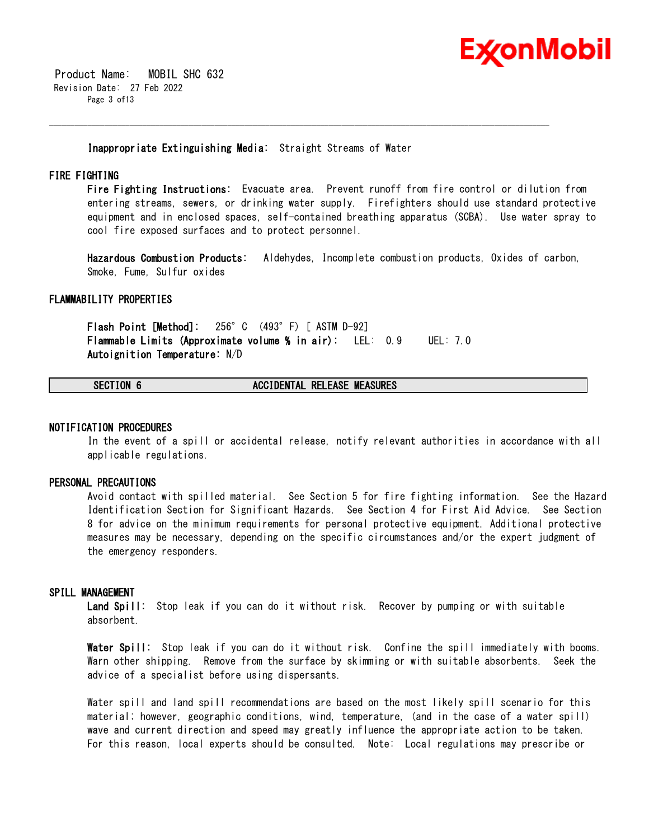

 Product Name: MOBIL SHC 632 Revision Date: 27 Feb 2022 Page 3 of13

**Inappropriate Extinguishing Media:** Straight Streams of Water

\_\_\_\_\_\_\_\_\_\_\_\_\_\_\_\_\_\_\_\_\_\_\_\_\_\_\_\_\_\_\_\_\_\_\_\_\_\_\_\_\_\_\_\_\_\_\_\_\_\_\_\_\_\_\_\_\_\_\_\_\_\_\_\_\_\_\_\_\_\_\_\_\_\_\_\_\_\_\_\_\_\_\_\_\_\_\_\_\_\_\_\_\_\_\_\_\_\_\_\_\_\_\_\_\_\_\_\_\_\_\_\_\_\_\_\_\_\_

#### **FIRE FIGHTING**

**Fire Fighting Instructions:** Evacuate area. Prevent runoff from fire control or dilution from entering streams, sewers, or drinking water supply. Firefighters should use standard protective equipment and in enclosed spaces, self-contained breathing apparatus (SCBA). Use water spray to cool fire exposed surfaces and to protect personnel.

**Hazardous Combustion Products:** Aldehydes, Incomplete combustion products, Oxides of carbon, Smoke, Fume, Sulfur oxides

#### **FLAMMABILITY PROPERTIES**

**Flash Point [Method]:** 256°C (493°F) [ ASTM D-92] **Flammable Limits (Approximate volume % in air):** LEL: 0.9 UEL: 7.0 **Autoignition Temperature:** N/D

#### **SECTION 6 ACCIDENTAL RELEASE MEASURES**

#### **NOTIFICATION PROCEDURES**

In the event of a spill or accidental release, notify relevant authorities in accordance with all applicable regulations.

#### **PERSONAL PRECAUTIONS**

Avoid contact with spilled material. See Section 5 for fire fighting information. See the Hazard Identification Section for Significant Hazards. See Section 4 for First Aid Advice. See Section 8 for advice on the minimum requirements for personal protective equipment. Additional protective measures may be necessary, depending on the specific circumstances and/or the expert judgment of the emergency responders.

#### **SPILL MANAGEMENT**

**Land Spill:** Stop leak if you can do it without risk. Recover by pumping or with suitable absorbent.

**Water Spill:** Stop leak if you can do it without risk. Confine the spill immediately with booms. Warn other shipping. Remove from the surface by skimming or with suitable absorbents. Seek the advice of a specialist before using dispersants.

Water spill and land spill recommendations are based on the most likely spill scenario for this material; however, geographic conditions, wind, temperature, (and in the case of a water spill) wave and current direction and speed may greatly influence the appropriate action to be taken. For this reason, local experts should be consulted. Note: Local regulations may prescribe or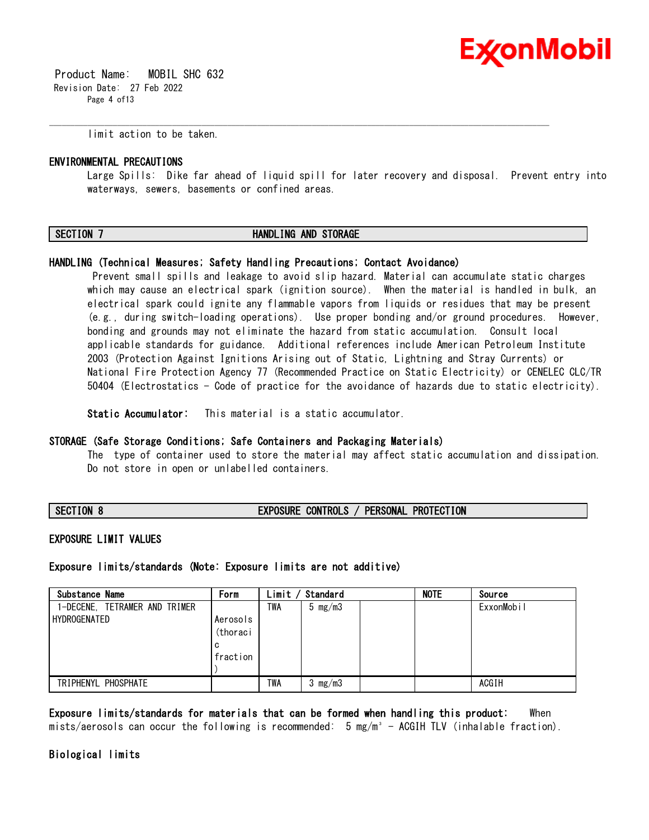

 Product Name: MOBIL SHC 632 Revision Date: 27 Feb 2022 Page 4 of13

limit action to be taken.

#### **ENVIRONMENTAL PRECAUTIONS**

Large Spills: Dike far ahead of liquid spill for later recovery and disposal. Prevent entry into waterways, sewers, basements or confined areas.

#### **SECTION 7 HANDLING AND STORAGE**

\_\_\_\_\_\_\_\_\_\_\_\_\_\_\_\_\_\_\_\_\_\_\_\_\_\_\_\_\_\_\_\_\_\_\_\_\_\_\_\_\_\_\_\_\_\_\_\_\_\_\_\_\_\_\_\_\_\_\_\_\_\_\_\_\_\_\_\_\_\_\_\_\_\_\_\_\_\_\_\_\_\_\_\_\_\_\_\_\_\_\_\_\_\_\_\_\_\_\_\_\_\_\_\_\_\_\_\_\_\_\_\_\_\_\_\_\_\_

#### **HANDLING (Technical Measures; Safety Handling Precautions; Contact Avoidance)**

Prevent small spills and leakage to avoid slip hazard. Material can accumulate static charges which may cause an electrical spark (ignition source). When the material is handled in bulk, an electrical spark could ignite any flammable vapors from liquids or residues that may be present (e.g., during switch-loading operations). Use proper bonding and/or ground procedures. However, bonding and grounds may not eliminate the hazard from static accumulation. Consult local applicable standards for guidance. Additional references include American Petroleum Institute 2003 (Protection Against Ignitions Arising out of Static, Lightning and Stray Currents) or National Fire Protection Agency 77 (Recommended Practice on Static Electricity) or CENELEC CLC/TR 50404 (Electrostatics - Code of practice for the avoidance of hazards due to static electricity).

**Static Accumulator:** This material is a static accumulator.

#### **STORAGE (Safe Storage Conditions; Safe Containers and Packaging Materials)**

The type of container used to store the material may affect static accumulation and dissipation. Do not store in open or unlabelled containers.

**SECTION 8 EXPOSURE CONTROLS / PERSONAL PROTECTION**

#### **EXPOSURE LIMIT VALUES**

**Exposure limits/standards (Note: Exposure limits are not additive)**

| Substance Name                                | Form                                  | Limit | Standard           | <b>NOTE</b> | Source     |
|-----------------------------------------------|---------------------------------------|-------|--------------------|-------------|------------|
| 1-DECENE, TETRAMER AND TRIMER<br>HYDROGENATED | Aerosols<br>(thoraci<br>C<br>fraction | TWA   | $5 \text{ mg/m}$ 3 |             | ExxonMobil |
| TRIPHENYL PHOSPHATE                           |                                       | TWA   | 3 $mg/m3$          |             | ACGIH      |
|                                               |                                       |       |                    |             |            |

**Exposure limits/standards for materials that can be formed when handling this product:** When mists/aerosols can occur the following is recommended:  $5 \text{ mg/m}^3$  - ACGIH TLV (inhalable fraction).

#### **Biological limits**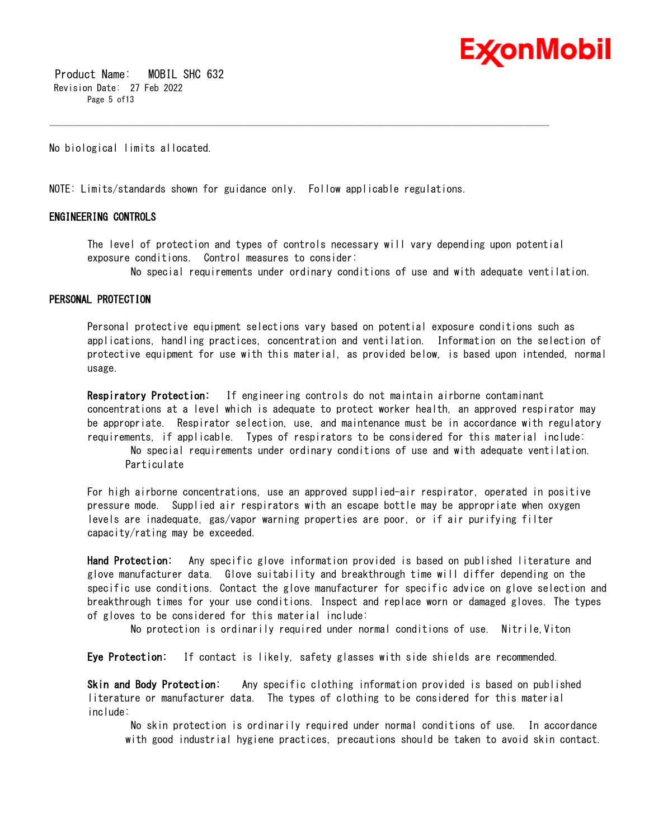

 Product Name: MOBIL SHC 632 Revision Date: 27 Feb 2022 Page 5 of 13

No biological limits allocated.

NOTE: Limits/standards shown for guidance only. Follow applicable regulations.

#### **ENGINEERING CONTROLS**

The level of protection and types of controls necessary will vary depending upon potential exposure conditions. Control measures to consider:

\_\_\_\_\_\_\_\_\_\_\_\_\_\_\_\_\_\_\_\_\_\_\_\_\_\_\_\_\_\_\_\_\_\_\_\_\_\_\_\_\_\_\_\_\_\_\_\_\_\_\_\_\_\_\_\_\_\_\_\_\_\_\_\_\_\_\_\_\_\_\_\_\_\_\_\_\_\_\_\_\_\_\_\_\_\_\_\_\_\_\_\_\_\_\_\_\_\_\_\_\_\_\_\_\_\_\_\_\_\_\_\_\_\_\_\_\_\_

No special requirements under ordinary conditions of use and with adequate ventilation.

#### **PERSONAL PROTECTION**

Personal protective equipment selections vary based on potential exposure conditions such as applications, handling practices, concentration and ventilation. Information on the selection of protective equipment for use with this material, as provided below, is based upon intended, normal usage.

**Respiratory Protection:** If engineering controls do not maintain airborne contaminant concentrations at a level which is adequate to protect worker health, an approved respirator may be appropriate. Respirator selection, use, and maintenance must be in accordance with regulatory requirements, if applicable. Types of respirators to be considered for this material include:

No special requirements under ordinary conditions of use and with adequate ventilation. Particulate

For high airborne concentrations, use an approved supplied-air respirator, operated in positive pressure mode. Supplied air respirators with an escape bottle may be appropriate when oxygen levels are inadequate, gas/vapor warning properties are poor, or if air purifying filter capacity/rating may be exceeded.

**Hand Protection:** Any specific glove information provided is based on published literature and glove manufacturer data. Glove suitability and breakthrough time will differ depending on the specific use conditions. Contact the glove manufacturer for specific advice on glove selection and breakthrough times for your use conditions. Inspect and replace worn or damaged gloves. The types of gloves to be considered for this material include:

No protection is ordinarily required under normal conditions of use. Nitrile,Viton

**Eye Protection:** If contact is likely, safety glasses with side shields are recommended.

**Skin and Body Protection:** Any specific clothing information provided is based on published literature or manufacturer data. The types of clothing to be considered for this material include:

No skin protection is ordinarily required under normal conditions of use. In accordance with good industrial hygiene practices, precautions should be taken to avoid skin contact.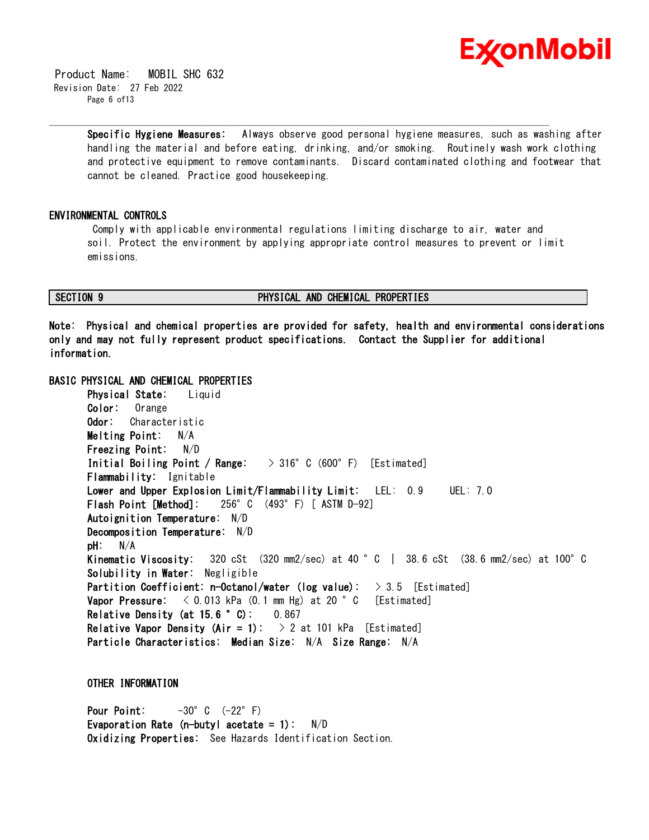

 Product Name: MOBIL SHC 632 Revision Date: 27 Feb 2022 Page 6 of13

> **Specific Hygiene Measures:** Always observe good personal hygiene measures, such as washing after handling the material and before eating, drinking, and/or smoking. Routinely wash work clothing and protective equipment to remove contaminants. Discard contaminated clothing and footwear that cannot be cleaned. Practice good housekeeping.

#### **ENVIRONMENTAL CONTROLS**

Comply with applicable environmental regulations limiting discharge to air, water and soil. Protect the environment by applying appropriate control measures to prevent or limit emissions.

\_\_\_\_\_\_\_\_\_\_\_\_\_\_\_\_\_\_\_\_\_\_\_\_\_\_\_\_\_\_\_\_\_\_\_\_\_\_\_\_\_\_\_\_\_\_\_\_\_\_\_\_\_\_\_\_\_\_\_\_\_\_\_\_\_\_\_\_\_\_\_\_\_\_\_\_\_\_\_\_\_\_\_\_\_\_\_\_\_\_\_\_\_\_\_\_\_\_\_\_\_\_\_\_\_\_\_\_\_\_\_\_\_\_\_\_\_\_

### **SECTION 9 PHYSICAL AND CHEMICAL PROPERTIES**

**Note: Physical and chemical properties are provided for safety, health and environmental considerations only and may not fully represent product specifications. Contact the Supplier for additional information.**

#### **BASIC PHYSICAL AND CHEMICAL PROPERTIES**

**Physical State:** Liquid **Color:** Orange **Odor:** Characteristic **Melting Point:** N/A **Freezing Point:** N/D **Initial Boiling Point / Range:** > 316°C (600°F) [Estimated] **Flammability:** Ignitable **Lower and Upper Explosion Limit/Flammability Limit:** LEL: 0.9 UEL: 7.0 **Flash Point [Method]:** 256°C (493°F) [ ASTM D-92] **Autoignition Temperature:** N/D **Decomposition Temperature:** N/D **pH:** N/A **Kinematic Viscosity:** 320 cSt (320 mm2/sec) at 40 °C | 38.6 cSt (38.6 mm2/sec) at 100°C **Solubility in Water:** Negligible **Partition Coefficient: n-Octanol/water (log value):** > 3.5 [Estimated] **Vapor Pressure:**  $\langle 0.013 \text{ kPa} (0.1 \text{ mm Hg}) \text{ at } 20 \degree \text{ C}$  [Estimated] **Relative Density (at 15.6 °C):** 0.867 **Relative Vapor Density (Air = 1):**  $> 2$  at 101 kPa [Estimated] **Particle Characteristics: Median Size:** N/A **Size Range:** N/A

**OTHER INFORMATION**

**Pour Point:**  $-30^{\circ}$  C  $(-22^{\circ}$  F) **Evaporation Rate (n-butyl acetate = 1):** N/D **Oxidizing Properties:** See Hazards Identification Section.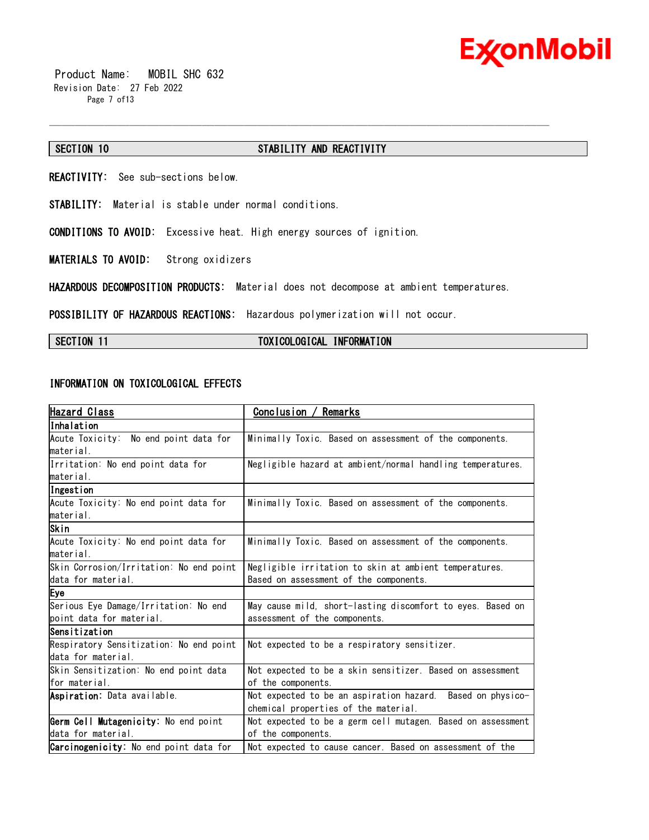

 Product Name: MOBIL SHC 632 Revision Date: 27 Feb 2022 Page 7 of13

#### **SECTION 10 STABILITY AND REACTIVITY**

\_\_\_\_\_\_\_\_\_\_\_\_\_\_\_\_\_\_\_\_\_\_\_\_\_\_\_\_\_\_\_\_\_\_\_\_\_\_\_\_\_\_\_\_\_\_\_\_\_\_\_\_\_\_\_\_\_\_\_\_\_\_\_\_\_\_\_\_\_\_\_\_\_\_\_\_\_\_\_\_\_\_\_\_\_\_\_\_\_\_\_\_\_\_\_\_\_\_\_\_\_\_\_\_\_\_\_\_\_\_\_\_\_\_\_\_\_\_

**REACTIVITY:** See sub-sections below.

**STABILITY:** Material is stable under normal conditions.

**CONDITIONS TO AVOID:** Excessive heat. High energy sources of ignition.

**MATERIALS TO AVOID:** Strong oxidizers

**HAZARDOUS DECOMPOSITION PRODUCTS:** Material does not decompose at ambient temperatures.

**POSSIBILITY OF HAZARDOUS REACTIONS:** Hazardous polymerization will not occur.

#### **SECTION 11 TOXICOLOGICAL INFORMATION**

#### **INFORMATION ON TOXICOLOGICAL EFFECTS**

| Hazard Class                                  | Remarks<br>Conclusion /                                     |
|-----------------------------------------------|-------------------------------------------------------------|
| Inhalation                                    |                                                             |
| Acute Toxicity: No end point data for         | Minimally Toxic. Based on assessment of the components.     |
| material.                                     |                                                             |
| Irritation: No end point data for             | Negligible hazard at ambient/normal handling temperatures.  |
| lmaterial.                                    |                                                             |
| Ingestion                                     |                                                             |
| Acute Toxicity: No end point data for         | Minimally Toxic. Based on assessment of the components.     |
| material.                                     |                                                             |
| Skin                                          |                                                             |
| Acute Toxicity: No end point data for         | Minimally Toxic. Based on assessment of the components.     |
| lmaterial.                                    |                                                             |
| Skin Corrosion/Irritation: No end point       | Negligible irritation to skin at ambient temperatures.      |
| data for material.                            | Based on assessment of the components.                      |
| Eye                                           |                                                             |
| Serious Eye Damage/Irritation: No end         | May cause mild, short-lasting discomfort to eyes. Based on  |
| point data for material.                      | assessment of the components.                               |
| Sensitization                                 |                                                             |
| Respiratory Sensitization: No end point       | Not expected to be a respiratory sensitizer.                |
| data for material.                            |                                                             |
| Skin Sensitization: No end point data         | Not expected to be a skin sensitizer. Based on assessment   |
| for material.                                 | of the components.                                          |
| Aspiration: Data available.                   | Not expected to be an aspiration hazard. Based on physico-  |
|                                               | chemical properties of the material.                        |
| Germ Cell Mutagenicity: No end point          | Not expected to be a germ cell mutagen. Based on assessment |
| data for material.                            | of the components.                                          |
| <b>Carcinogenicity:</b> No end point data for | Not expected to cause cancer. Based on assessment of the    |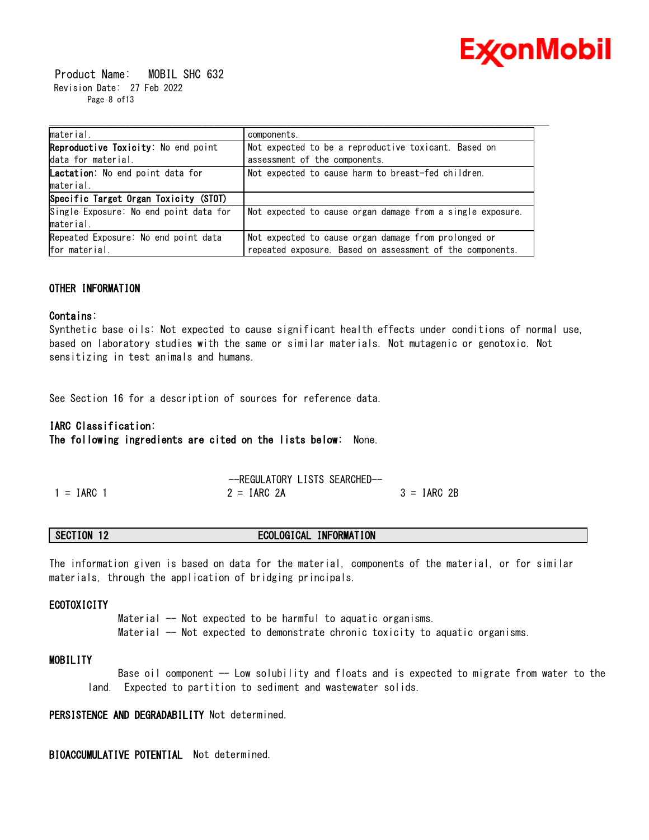

 Product Name: MOBIL SHC 632 Revision Date: 27 Feb 2022 Page 8 of13

| material.                              | components.                                                |
|----------------------------------------|------------------------------------------------------------|
| Reproductive Toxicity: No end point    | Not expected to be a reproductive toxicant. Based on       |
| data for material.                     | assessment of the components.                              |
| Lactation: No end point data for       | Not expected to cause harm to breast-fed children.         |
| material.                              |                                                            |
| Specific Target Organ Toxicity (STOT)  |                                                            |
| Single Exposure: No end point data for | Not expected to cause organ damage from a single exposure. |
| material.                              |                                                            |
| Repeated Exposure: No end point data   | Not expected to cause organ damage from prolonged or       |
| for material.                          | repeated exposure. Based on assessment of the components.  |

#### **OTHER INFORMATION**

#### **Contains:**

Synthetic base oils: Not expected to cause significant health effects under conditions of normal use, based on laboratory studies with the same or similar materials. Not mutagenic or genotoxic. Not sensitizing in test animals and humans.

See Section 16 for a description of sources for reference data.

#### **IARC Classification:**

**The following ingredients are cited on the lists below:** None.

|              | --REGULATORY LISTS SEARCHED- |               |
|--------------|------------------------------|---------------|
| $1 = IARC$ 1 | $2 = IARC 2A$                | $3 = IARC 2B$ |

#### **SECTION 12 ECOLOGICAL INFORMATION**

The information given is based on data for the material, components of the material, or for similar materials, through the application of bridging principals.

#### **ECOTOXICITY**

Material -- Not expected to be harmful to aquatic organisms. Material -- Not expected to demonstrate chronic toxicity to aquatic organisms.

#### **MOBILITY**

Base oil component -- Low solubility and floats and is expected to migrate from water to the land. Expected to partition to sediment and wastewater solids.

**PERSISTENCE AND DEGRADABILITY** Not determined.

**BIOACCUMULATIVE POTENTIAL** Not determined.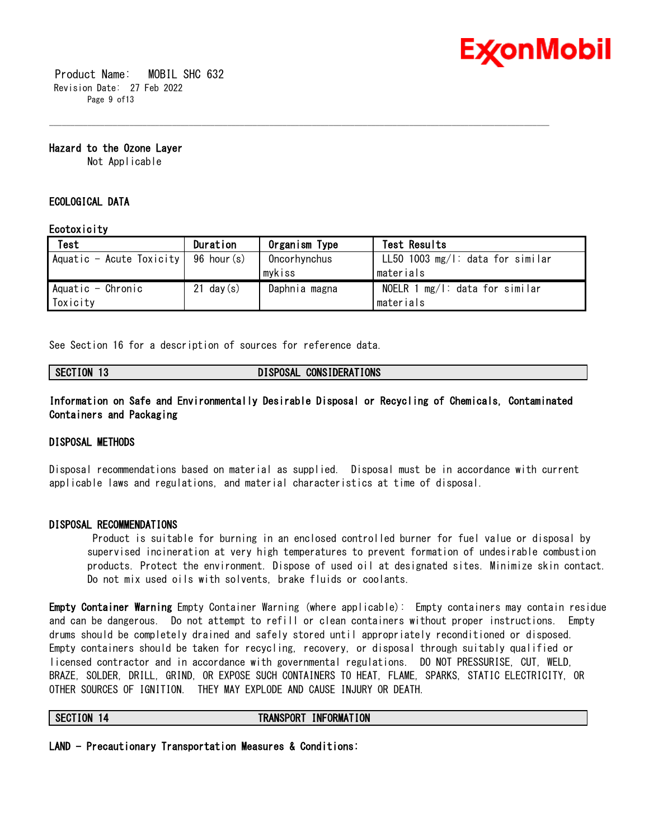

 Product Name: MOBIL SHC 632 Revision Date: 27 Feb 2022 Page 9 of 13

**Hazard to the Ozone Layer** 

Not Applicable

#### **ECOLOGICAL DATA**

#### **Ecotoxicity**

| Test                                   | Duration     | Organism Type | Test Results                        |
|----------------------------------------|--------------|---------------|-------------------------------------|
| Aquatic - Acute Toxicity   96 hour (s) |              | Oncorhynchus  | LL50 1003 $mg/1$ : data for similar |
|                                        |              | mykiss        | lmaterials                          |
| Aquatic - Chronic                      | $21$ day (s) | Daphnia magna | NOELR 1 $mg/l$ : data for similar   |
| Toxicity                               |              |               | materials                           |

\_\_\_\_\_\_\_\_\_\_\_\_\_\_\_\_\_\_\_\_\_\_\_\_\_\_\_\_\_\_\_\_\_\_\_\_\_\_\_\_\_\_\_\_\_\_\_\_\_\_\_\_\_\_\_\_\_\_\_\_\_\_\_\_\_\_\_\_\_\_\_\_\_\_\_\_\_\_\_\_\_\_\_\_\_\_\_\_\_\_\_\_\_\_\_\_\_\_\_\_\_\_\_\_\_\_\_\_\_\_\_\_\_\_\_\_\_\_

See Section 16 for a description of sources for reference data.

#### **SECTION 13 DISPOSAL CONSIDERATIONS**

**Information on Safe and Environmentally Desirable Disposal or Recycling of Chemicals, Contaminated Containers and Packaging** 

#### **DISPOSAL METHODS**

Disposal recommendations based on material as supplied. Disposal must be in accordance with current applicable laws and regulations, and material characteristics at time of disposal.

#### **DISPOSAL RECOMMENDATIONS**

Product is suitable for burning in an enclosed controlled burner for fuel value or disposal by supervised incineration at very high temperatures to prevent formation of undesirable combustion products. Protect the environment. Dispose of used oil at designated sites. Minimize skin contact. Do not mix used oils with solvents, brake fluids or coolants.

**Empty Container Warning** Empty Container Warning (where applicable): Empty containers may contain residue and can be dangerous. Do not attempt to refill or clean containers without proper instructions. Empty drums should be completely drained and safely stored until appropriately reconditioned or disposed. Empty containers should be taken for recycling, recovery, or disposal through suitably qualified or licensed contractor and in accordance with governmental regulations. DO NOT PRESSURISE, CUT, WELD, BRAZE, SOLDER, DRILL, GRIND, OR EXPOSE SUCH CONTAINERS TO HEAT, FLAME, SPARKS, STATIC ELECTRICITY, OR OTHER SOURCES OF IGNITION. THEY MAY EXPLODE AND CAUSE INJURY OR DEATH.

**SECTION 14 TRANSPORT INFORMATION** 

**LAND - Precautionary Transportation Measures & Conditions:**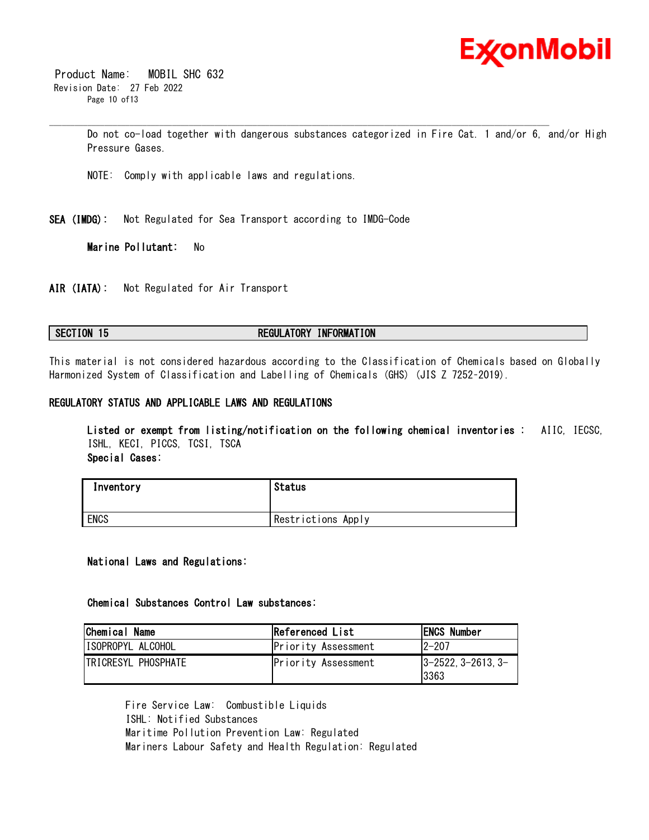

 Product Name: MOBIL SHC 632 Revision Date: 27 Feb 2022 Page 10 of13

> Do not co-load together with dangerous substances categorized in Fire Cat. 1 and/or 6, and/or High Pressure Gases.

\_\_\_\_\_\_\_\_\_\_\_\_\_\_\_\_\_\_\_\_\_\_\_\_\_\_\_\_\_\_\_\_\_\_\_\_\_\_\_\_\_\_\_\_\_\_\_\_\_\_\_\_\_\_\_\_\_\_\_\_\_\_\_\_\_\_\_\_\_\_\_\_\_\_\_\_\_\_\_\_\_\_\_\_\_\_\_\_\_\_\_\_\_\_\_\_\_\_\_\_\_\_\_\_\_\_\_\_\_\_\_\_\_\_\_\_\_\_

NOTE: Comply with applicable laws and regulations.

**SEA (IMDG):** Not Regulated for Sea Transport according to IMDG-Code

**Marine Pollutant:** No

**AIR (IATA):** Not Regulated for Air Transport

### **SECTION 15 REGULATORY INFORMATION**

This material is not considered hazardous according to the Classification of Chemicals based on Globally Harmonized System of Classification and Labelling of Chemicals (GHS) (JIS Z 7252–2019).

#### **REGULATORY STATUS AND APPLICABLE LAWS AND REGULATIONS**

**Listed or exempt from listing/notification on the following chemical inventories :** AIIC, IECSC, ISHL, KECI, PICCS, TCSI, TSCA **Special Cases:**

| Inventory | Status             |
|-----------|--------------------|
| ENCS      | Restrictions Apply |

#### **National Laws and Regulations:**

#### **Chemical Substances Control Law substances:**

| Chemical Name              | Referenced List     | <b>ENCS Number</b>                  |
|----------------------------|---------------------|-------------------------------------|
| ISOPROPYL ALCOHOL          | Priority Assessment | $12 - 207$                          |
| <b>TRICRESYL PHOSPHATE</b> | Priority Assessment | $ 3 - 2522, 3 - 2613, 3 -$<br>13363 |

Fire Service Law: Combustible Liquids ISHL: Notified Substances Maritime Pollution Prevention Law: Regulated Mariners Labour Safety and Health Regulation: Regulated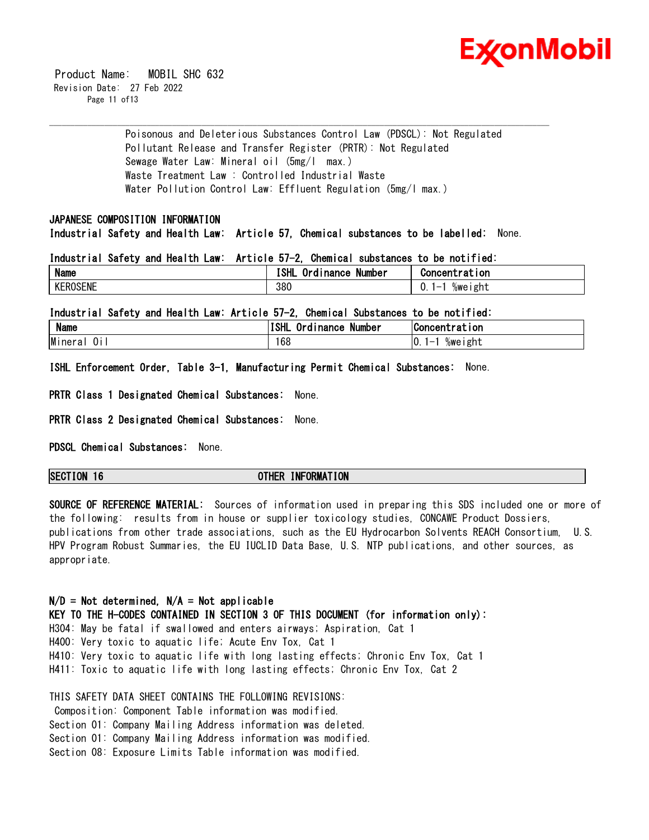

 Product Name: MOBIL SHC 632 Revision Date: 27 Feb 2022 Page 11 of 13

> Poisonous and Deleterious Substances Control Law (PDSCL): Not Regulated Pollutant Release and Transfer Register (PRTR): Not Regulated Sewage Water Law: Mineral oil (5mg/l max.) Waste Treatment Law : Controlled Industrial Waste Water Pollution Control Law: Effluent Regulation (5mg/l max.)

\_\_\_\_\_\_\_\_\_\_\_\_\_\_\_\_\_\_\_\_\_\_\_\_\_\_\_\_\_\_\_\_\_\_\_\_\_\_\_\_\_\_\_\_\_\_\_\_\_\_\_\_\_\_\_\_\_\_\_\_\_\_\_\_\_\_\_\_\_\_\_\_\_\_\_\_\_\_\_\_\_\_\_\_\_\_\_\_\_\_\_\_\_\_\_\_\_\_\_\_\_\_\_\_\_\_\_\_\_\_\_\_\_\_\_\_\_\_

### **JAPANESE COMPOSITION INFORMATION**

**Industrial Safety and Health Law: Article 57, Chemical substances to be labelled:** None.

#### **Industrial Safety and Health Law: Article 57-2, Chemical substances to be notified:**

| Name            | .<br>10 U<br>Ordinance<br>Number<br>. ƏHL | Concentration      |
|-----------------|-------------------------------------------|--------------------|
| <b>KEROSENE</b> | 380                                       | %weıght<br>-<br>U. |

**Industrial Safety and Health Law: Article 57-2, Chemical Substances to be notified:**

| -88<br>Name   | $ -$<br><b>ISHL</b><br>. .<br>0rd<br>Number<br>™nance | Concentration                |
|---------------|-------------------------------------------------------|------------------------------|
| Mineral<br>UΙ | 168                                                   | %weight<br>- 10.<br><u>—</u> |

**ISHL Enforcement Order, Table 3-1, Manufacturing Permit Chemical Substances:** None.

**PRTR Class 1 Designated Chemical Substances:** None.

**PRTR Class 2 Designated Chemical Substances:** None.

**PDSCL Chemical Substances:** None.

### **SECTION 16 OTHER INFORMATION**

**SOURCE OF REFERENCE MATERIAL:** Sources of information used in preparing this SDS included one or more of the following: results from in house or supplier toxicology studies, CONCAWE Product Dossiers, publications from other trade associations, such as the EU Hydrocarbon Solvents REACH Consortium, U.S. HPV Program Robust Summaries, the EU IUCLID Data Base, U.S. NTP publications, and other sources, as appropriate.

#### **N/D = Not determined, N/A = Not applicable**

**KEY TO THE H-CODES CONTAINED IN SECTION 3 OF THIS DOCUMENT (for information only):** H304: May be fatal if swallowed and enters airways; Aspiration, Cat 1 H400: Very toxic to aquatic life; Acute Env Tox, Cat 1 H410: Very toxic to aquatic life with long lasting effects; Chronic Env Tox, Cat 1 H411: Toxic to aquatic life with long lasting effects; Chronic Env Tox, Cat 2

THIS SAFETY DATA SHEET CONTAINS THE FOLLOWING REVISIONS: Composition: Component Table information was modified. Section 01: Company Mailing Address information was deleted. Section 01: Company Mailing Address information was modified. Section 08: Exposure Limits Table information was modified.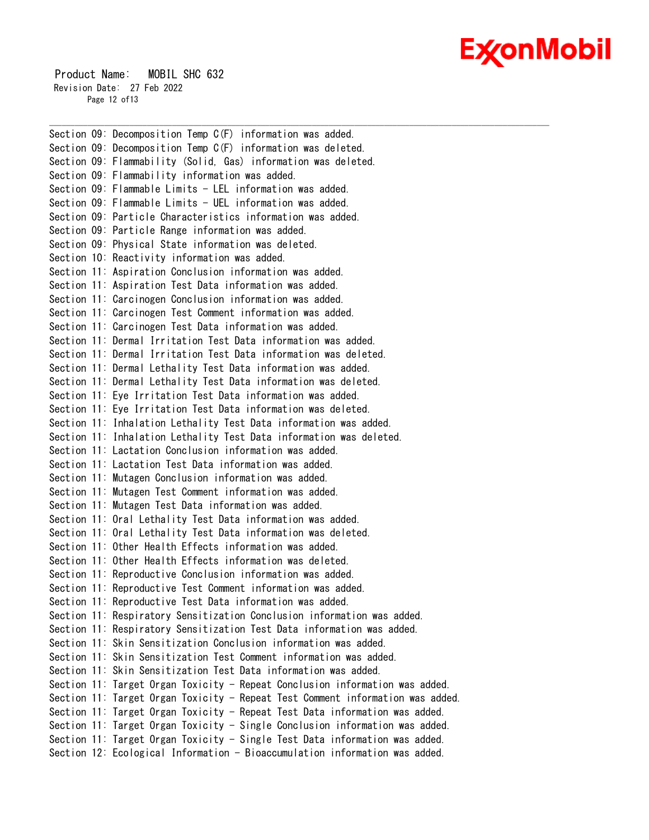# Ex⁄onMobil

 Product Name: MOBIL SHC 632 Revision Date: 27 Feb 2022 Page 12 of 13

Section 09: Decomposition Temp C(F) information was added. Section 09: Decomposition Temp C(F) information was deleted. Section 09: Flammability (Solid, Gas) information was deleted. Section 09: Flammability information was added. Section 09: Flammable Limits - LEL information was added. Section 09: Flammable Limits - UEL information was added. Section 09: Particle Characteristics information was added. Section 09: Particle Range information was added. Section 09: Physical State information was deleted. Section 10: Reactivity information was added. Section 11: Aspiration Conclusion information was added. Section 11: Aspiration Test Data information was added. Section 11: Carcinogen Conclusion information was added. Section 11: Carcinogen Test Comment information was added. Section 11: Carcinogen Test Data information was added. Section 11: Dermal Irritation Test Data information was added. Section 11: Dermal Irritation Test Data information was deleted. Section 11: Dermal Lethality Test Data information was added. Section 11: Dermal Lethality Test Data information was deleted. Section 11: Eye Irritation Test Data information was added. Section 11: Eye Irritation Test Data information was deleted. Section 11: Inhalation Lethality Test Data information was added. Section 11: Inhalation Lethality Test Data information was deleted. Section 11: Lactation Conclusion information was added. Section 11: Lactation Test Data information was added. Section 11: Mutagen Conclusion information was added. Section 11: Mutagen Test Comment information was added. Section 11: Mutagen Test Data information was added. Section 11: Oral Lethality Test Data information was added. Section 11: Oral Lethality Test Data information was deleted. Section 11: Other Health Effects information was added. Section 11: Other Health Effects information was deleted. Section 11: Reproductive Conclusion information was added. Section 11: Reproductive Test Comment information was added. Section 11: Reproductive Test Data information was added. Section 11: Respiratory Sensitization Conclusion information was added. Section 11: Respiratory Sensitization Test Data information was added. Section 11: Skin Sensitization Conclusion information was added. Section 11: Skin Sensitization Test Comment information was added. Section 11: Skin Sensitization Test Data information was added. Section 11: Target Organ Toxicity - Repeat Conclusion information was added. Section 11: Target Organ Toxicity - Repeat Test Comment information was added. Section 11: Target Organ Toxicity - Repeat Test Data information was added. Section 11: Target Organ Toxicity - Single Conclusion information was added. Section 11: Target Organ Toxicity - Single Test Data information was added. Section 12: Ecological Information - Bioaccumulation information was added.

\_\_\_\_\_\_\_\_\_\_\_\_\_\_\_\_\_\_\_\_\_\_\_\_\_\_\_\_\_\_\_\_\_\_\_\_\_\_\_\_\_\_\_\_\_\_\_\_\_\_\_\_\_\_\_\_\_\_\_\_\_\_\_\_\_\_\_\_\_\_\_\_\_\_\_\_\_\_\_\_\_\_\_\_\_\_\_\_\_\_\_\_\_\_\_\_\_\_\_\_\_\_\_\_\_\_\_\_\_\_\_\_\_\_\_\_\_\_